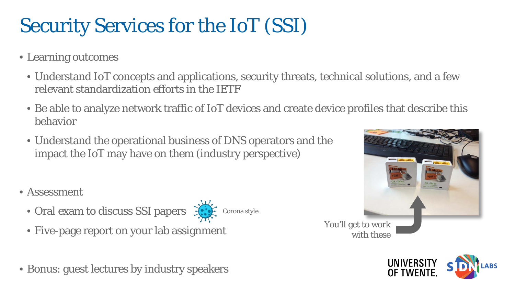## Security Services for the IoT (SSI)

- Learning outcomes
	- Understand IoT concepts and applications, security threats, technical solutions, and a few relevant standardization efforts in the IETF
	- Be able to analyze network traffic of IoT devices and create device profiles that describe this behavior
	- Understand the operational business of DNS operators and the impact the IoT may have on them (industry perspective)
- Assessment
	- Oral exam to discuss SSI papers  $\mathcal{L}$ 
		- Corona style
	- Five-page report on your lab assignment
- Bonus: guest lectures by industry speakers



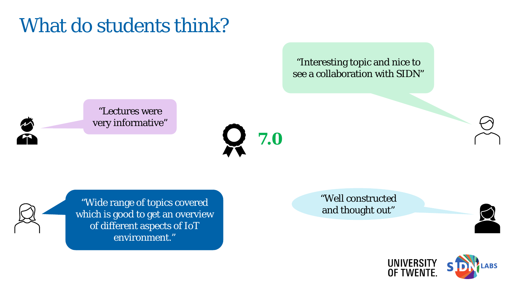## What do students think?

"Interesting topic and nice to see a collaboration with SIDN"

"Lectures were very informative"

**7.0**

well constructed<br>"Wide range of topics covered and thought out" which is good to get an overview of different aspects of IoT environment."

"Well constructed